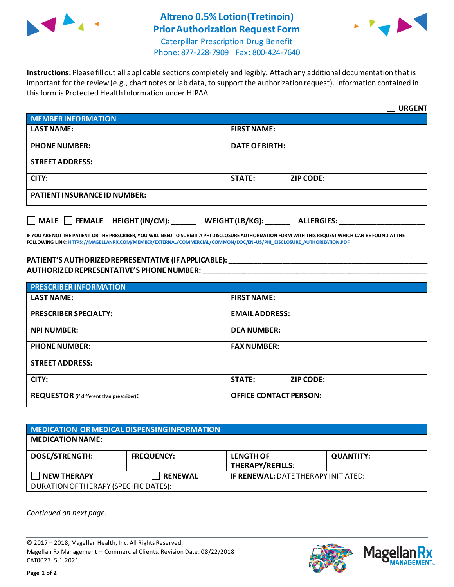

## **Altreno 0.5% Lotion(Tretinoin) Prior Authorization Request Form**



Caterpillar Prescription Drug Benefit Phone: 877-228-7909 Fax: 800-424-7640

**Instructions:** Please fill out all applicable sections completely and legibly. Attach any additional documentation that is important for the review (e.g., chart notes or lab data, to support the authorization request). Information contained in this form is Protected Health Information under HIPAA.

|                                                                                   | <b>URGENT</b>                     |  |  |
|-----------------------------------------------------------------------------------|-----------------------------------|--|--|
| <b>MEMBER INFORMATION</b>                                                         |                                   |  |  |
| <b>LAST NAME:</b>                                                                 | <b>FIRST NAME:</b>                |  |  |
| <b>PHONE NUMBER:</b>                                                              | <b>DATE OF BIRTH:</b>             |  |  |
| <b>STREET ADDRESS:</b>                                                            |                                   |  |  |
| CITY:                                                                             | <b>STATE:</b><br><b>ZIP CODE:</b> |  |  |
| <b>PATIENT INSURANCE ID NUMBER:</b>                                               |                                   |  |  |
| $\Box$ MALE $\Box$ FEMALE HEIGHT (IN/CM):<br>WEIGHT (LB/KG):<br><b>ALLERGIES:</b> |                                   |  |  |

**IF YOU ARE NOT THE PATIENT OR THE PRESCRIBER, YOU WILL NEED TO SUBMIT A PHI DISCLOSURE AUTHORIZATION FORM WITH THIS REQUEST WHICH CAN BE FOUND AT THE FOLLOWING LINK[: HTTPS://MAGELLANRX.COM/MEMBER/EXTERNAL/COMMERCIAL/COMMON/DOC/EN-US/PHI\\_DISCLOSURE\\_AUTHORIZATION.PDF](https://magellanrx.com/member/external/commercial/common/doc/en-us/PHI_Disclosure_Authorization.pdf)**

## **PATIENT'S AUTHORIZED REPRESENTATIVE (IF APPLICABLE): \_\_\_\_\_\_\_\_\_\_\_\_\_\_\_\_\_\_\_\_\_\_\_\_\_\_\_\_\_\_\_\_\_\_\_\_\_\_\_\_\_\_\_\_\_\_\_\_\_ AUTHORIZED REPRESENTATIVE'S PHONE NUMBER: \_\_\_\_\_\_\_\_\_\_\_\_\_\_\_\_\_\_\_\_\_\_\_\_\_\_\_\_\_\_\_\_\_\_\_\_\_\_\_\_\_\_\_\_\_\_\_\_\_\_\_\_\_\_\_**

| <b>PRESCRIBER INFORMATION</b>             |                               |  |  |
|-------------------------------------------|-------------------------------|--|--|
| <b>LAST NAME:</b>                         | <b>FIRST NAME:</b>            |  |  |
| <b>PRESCRIBER SPECIALTY:</b>              | <b>EMAIL ADDRESS:</b>         |  |  |
| <b>NPI NUMBER:</b>                        | <b>DEA NUMBER:</b>            |  |  |
| <b>PHONE NUMBER:</b>                      | <b>FAX NUMBER:</b>            |  |  |
| <b>STREET ADDRESS:</b>                    |                               |  |  |
| CITY:                                     | <b>STATE:</b><br>ZIP CODE:    |  |  |
| REQUESTOR (if different than prescriber): | <b>OFFICE CONTACT PERSON:</b> |  |  |

| MEDICATION OR MEDICAL DISPENSING INFORMATION |                   |                                             |                  |  |  |
|----------------------------------------------|-------------------|---------------------------------------------|------------------|--|--|
| <b>MEDICATION NAME:</b>                      |                   |                                             |                  |  |  |
| <b>DOSE/STRENGTH:</b>                        | <b>FREQUENCY:</b> | <b>LENGTH OF</b><br><b>THERAPY/REFILLS:</b> | <b>QUANTITY:</b> |  |  |
| <b>NEW THERAPY</b>                           | <b>RENEWAL</b>    | <b>IF RENEWAL: DATE THERAPY INITIATED:</b>  |                  |  |  |
| DURATION OF THERAPY (SPECIFIC DATES):        |                   |                                             |                  |  |  |

*Continued on next page.*

© 2017 – 2018, Magellan Health, Inc. All Rights Reserved. Magellan Rx Management – Commercial Clients. Revision Date: 08/22/2018 CAT0027 5.1.2021